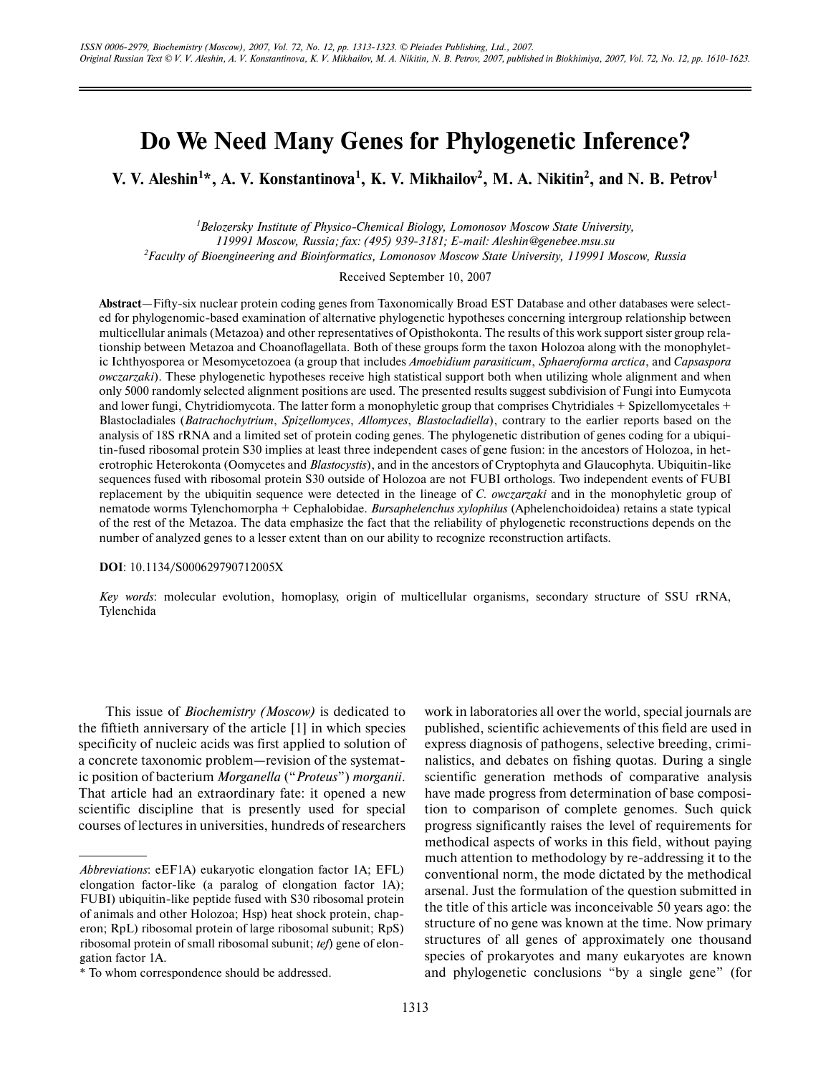# **Do We Need Many Genes for Phylogenetic Inference?**

**V. V. Aleshin<sup>1</sup> \*, A. V. Konstantinova<sup>1</sup> , K. V. Mikhailov 2 , M. A. Nikitin<sup>2</sup> , and N. B. Petrov<sup>1</sup>**

*<sup>1</sup>Belozersky Institute of Physico-Chemical Biology, Lomonosov Moscow State University, 119991 Moscow, Russia; fax: (495) 939-3181; E-mail: Aleshin@genebee.msu.su <sup>2</sup>Faculty of Bioengineering and Bioinformatics, Lomonosov Moscow State University, 119991 Moscow, Russia*

Received September 10, 2007

**Abstract**—Fifty-six nuclear protein coding genes from Taxonomically Broad EST Database and other databases were selected for phylogenomic-based examination of alternative phylogenetic hypotheses concerning intergroup relationship between multicellular animals (Metazoa) and other representatives of Opisthokonta. The results of this work support sister group relationship between Metazoa and Choanoflagellata. Both of these groups form the taxon Holozoa along with the monophyletic Ichthyosporea or Mesomycetozoea (a group that includes *Amoebidium parasiticum*, *Sphaeroforma arctica*, and *Capsaspora owczarzaki*). These phylogenetic hypotheses receive high statistical support both when utilizing whole alignment and when only 5000 randomly selected alignment positions are used. The presented results suggest subdivision of Fungi into Eumycota and lower fungi, Chytridiomycota. The latter form a monophyletic group that comprises Chytridiales + Spizellomycetales + Blastocladiales (*Batrachochytrium*, *Spizellomyces*, *Allomyces*, *Blastocladiella*), contrary to the earlier reports based on the analysis of 18S rRNA and a limited set of protein coding genes. The phylogenetic distribution of genes coding for a ubiquitin-fused ribosomal protein S30 implies at least three independent cases of gene fusion: in the ancestors of Holozoa, in heterotrophic Heterokonta (Oomycetes and *Blastocystis*), and in the ancestors of Cryptophyta and Glaucophyta. Ubiquitin-like sequences fused with ribosomal protein S30 outside of Holozoa are not FUBI orthologs. Two independent events of FUBI replacement by the ubiquitin sequence were detected in the lineage of *C. owczarzaki* and in the monophyletic group of nematode worms Tylenchomorpha + Cephalobidae. *Bursaphelenchus xylophilus* (Aphelenchoidoidea) retains a state typical of the rest of the Metazoa. The data emphasize the fact that the reliability of phylogenetic reconstructions depends on the number of analyzed genes to a lesser extent than on our ability to recognize reconstruction artifacts.

**DOI**: 10.1134/S000629790712005X

*Key words*: molecular evolution, homoplasy, origin of multicellular organisms, secondary structure of SSU rRNA, Tylenchida

This issue of *Biochemistry (Moscow)* is dedicated to the fiftieth anniversary of the article [1] in which species specificity of nucleic acids was first applied to solution of a concrete taxonomic problem—revision of the systematic position of bacterium *Morganella* ("*Proteus*") *morganii*. That article had an extraordinary fate: it opened a new scientific discipline that is presently used for special courses of lectures in universities, hundreds of researchers work in laboratories all over the world, special journals are published, scientific achievements of this field are used in express diagnosis of pathogens, selective breeding, criminalistics, and debates on fishing quotas. During a single scientific generation methods of comparative analysis have made progress from determination of base composition to comparison of complete genomes. Such quick progress significantly raises the level of requirements for methodical aspects of works in this field, without paying much attention to methodology by re-addressing it to the conventional norm, the mode dictated by the methodical arsenal. Just the formulation of the question submitted in the title of this article was inconceivable 50 years ago: the structure of no gene was known at the time. Now primary structures of all genes of approximately one thousand species of prokaryotes and many eukaryotes are known and phylogenetic conclusions "by a single gene" (for

*Abbreviations*: eEF1A) eukaryotic elongation factor 1A; EFL) elongation factor-like (a paralog of elongation factor 1A); FUBI) ubiquitin-like peptide fused with S30 ribosomal protein of animals and other Holozoa; Hsp) heat shock protein, chaperon; RpL) ribosomal protein of large ribosomal subunit; RpS) ribosomal protein of small ribosomal subunit; *tef*) gene of elongation factor 1A.

<sup>\*</sup> To whom correspondence should be addressed.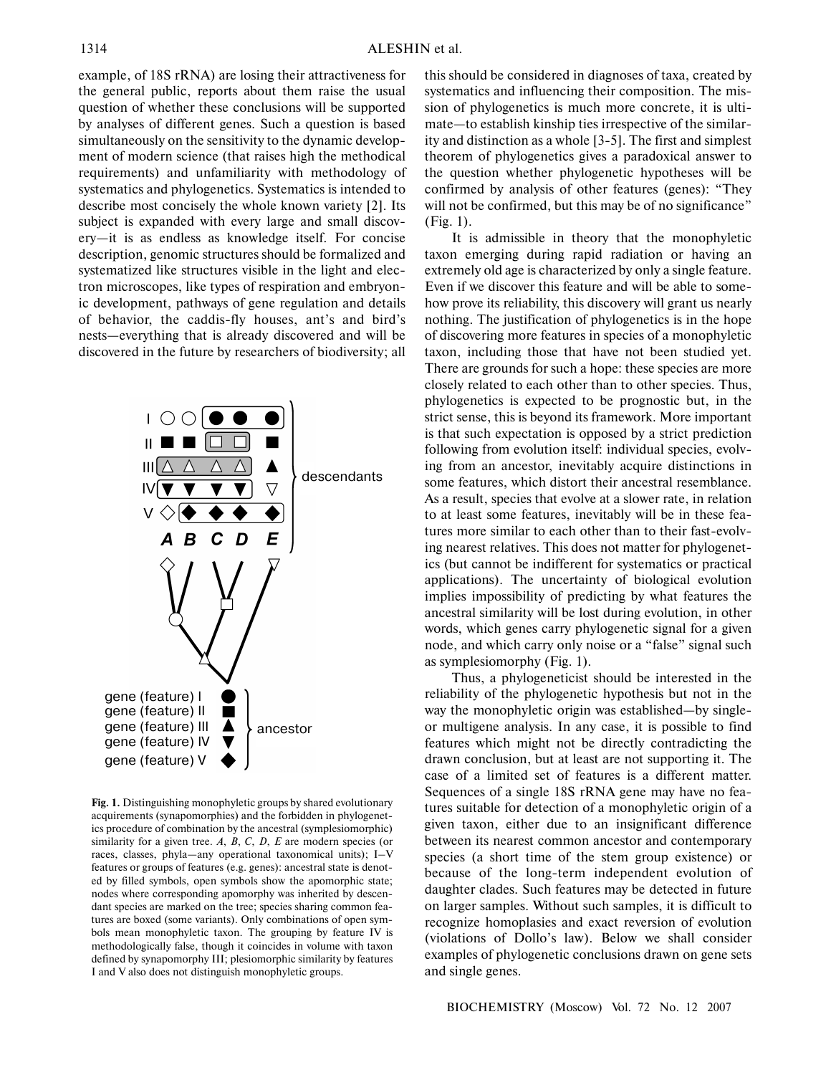example, of 18S rRNA) are losing their attractiveness for the general public, reports about them raise the usual question of whether these conclusions will be supported by analyses of different genes. Such a question is based simultaneously on the sensitivity to the dynamic development of modern science (that raises high the methodical requirements) and unfamiliarity with methodology of systematics and phylogenetics. Systematics is intended to describe most concisely the whole known variety [2]. Its subject is expanded with every large and small discovery—it is as endless as knowledge itself. For concise description, genomic structures should be formalized and systematized like structures visible in the light and electron microscopes, like types of respiration and embryonic development, pathways of gene regulation and details of behavior, the caddis-fly houses, ant's and bird's nests—everything that is already discovered and will be discovered in the future by researchers of biodiversity; all



**Fig. 1.** Distinguishing monophyletic groups by shared evolutionary acquirements (synapomorphies) and the forbidden in phylogenetics procedure of combination by the ancestral (symplesiomorphic) similarity for a given tree. *A*, *B*, *C*, *D*, *E* are modern species (or races, classes, phyla—any operational taxonomical units); I–V features or groups of features (e.g. genes): ancestral state is denoted by filled symbols, open symbols show the apomorphic state; nodes where corresponding apomorphy was inherited by descendant species are marked on the tree; species sharing common features are boxed (some variants). Only combinations of open symbols mean monophyletic taxon. The grouping by feature IV is methodologically false, though it coincides in volume with taxon defined by synapomorphy III; plesiomorphic similarity by features I and V also does not distinguish monophyletic groups.

this should be considered in diagnoses of taxa, created by systematics and influencing their composition. The mission of phylogenetics is much more concrete, it is ultimate—to establish kinship ties irrespective of the similarity and distinction as a whole [3-5]. The first and simplest theorem of phylogenetics gives a paradoxical answer to the question whether phylogenetic hypotheses will be confirmed by analysis of other features (genes): "They will not be confirmed, but this may be of no significance" (Fig. 1).

It is admissible in theory that the monophyletic taxon emerging during rapid radiation or having an extremely old age is characterized by only a single feature. Even if we discover this feature and will be able to somehow prove its reliability, this discovery will grant us nearly nothing. The justification of phylogenetics is in the hope of discovering more features in species of a monophyletic taxon, including those that have not been studied yet. There are grounds for such a hope: these species are more closely related to each other than to other species. Thus, phylogenetics is expected to be prognostic but, in the strict sense, this is beyond its framework. More important is that such expectation is opposed by a strict prediction following from evolution itself: individual species, evolving from an ancestor, inevitably acquire distinctions in some features, which distort their ancestral resemblance. As a result, species that evolve at a slower rate, in relation to at least some features, inevitably will be in these features more similar to each other than to their fast-evolving nearest relatives. This does not matter for phylogenetics (but cannot be indifferent for systematics or practical applications). The uncertainty of biological evolution implies impossibility of predicting by what features the ancestral similarity will be lost during evolution, in other words, which genes carry phylogenetic signal for a given node, and which carry only noise or a "false" signal such as symplesiomorphy (Fig. 1).

Thus, a phylogeneticist should be interested in the reliability of the phylogenetic hypothesis but not in the way the monophyletic origin was established—by singleor multigene analysis. In any case, it is possible to find features which might not be directly contradicting the drawn conclusion, but at least are not supporting it. The case of a limited set of features is a different matter. Sequences of a single 18S rRNA gene may have no features suitable for detection of a monophyletic origin of a given taxon, either due to an insignificant difference between its nearest common ancestor and contemporary species (a short time of the stem group existence) or because of the long-term independent evolution of daughter clades. Such features may be detected in future on larger samples. Without such samples, it is difficult to recognize homoplasies and exact reversion of evolution (violations of Dollo's law). Below we shall consider examples of phylogenetic conclusions drawn on gene sets and single genes.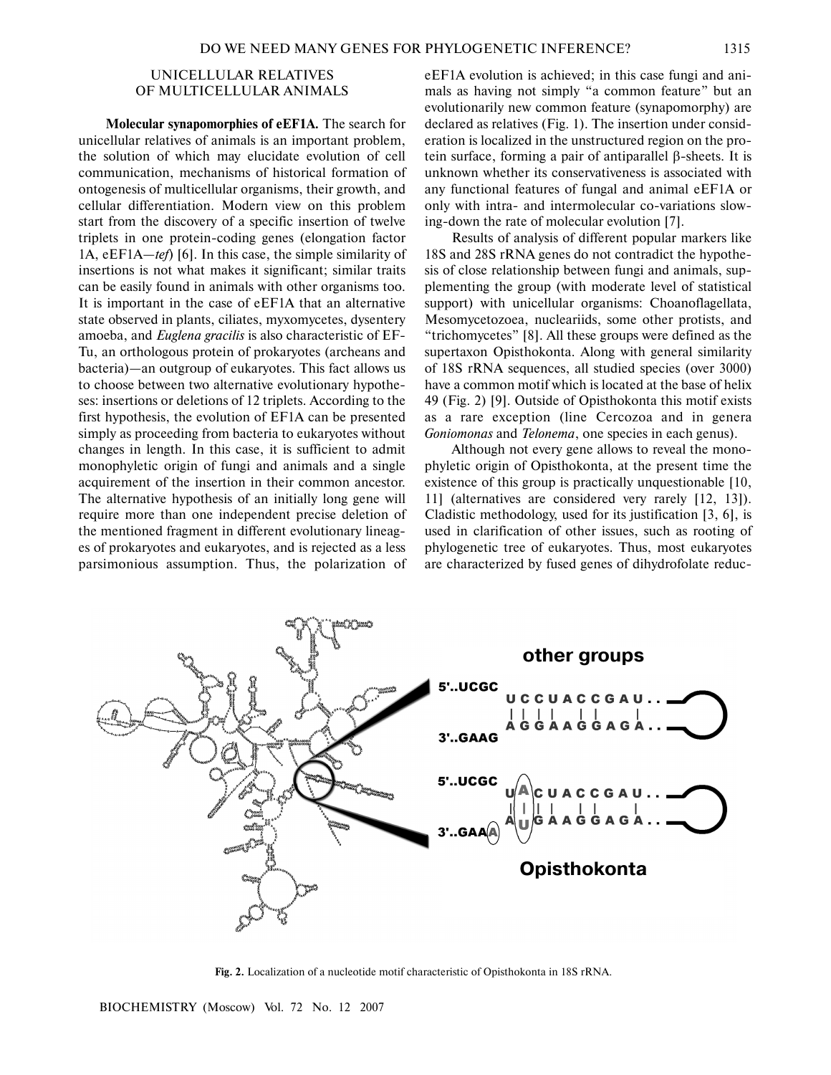### UNICELLULAR RELATIVES OF MULTICELLULAR ANIMALS

**Molecular synapomorphies of eEF1A.** The search for unicellular relatives of animals is an important problem, the solution of which may elucidate evolution of cell communication, mechanisms of historical formation of ontogenesis of multicellular organisms, their growth, and cellular differentiation. Modern view on this problem start from the discovery of a specific insertion of twelve triplets in one protein-coding genes (elongation factor 1A, eEF1A—*tef*) [6]. In this case, the simple similarity of insertions is not what makes it significant; similar traits can be easily found in animals with other organisms too. It is important in the case of eEF1A that an alternative state observed in plants, ciliates, myxomycetes, dysentery amoeba, and *Euglena gracilis* is also characteristic of EF-Tu, an orthologous protein of prokaryotes (archeans and bacteria)—an outgroup of eukaryotes. This fact allows us to choose between two alternative evolutionary hypotheses: insertions or deletions of 12 triplets. According to the first hypothesis, the evolution of EF1A can be presented simply as proceeding from bacteria to eukaryotes without changes in length. In this case, it is sufficient to admit monophyletic origin of fungi and animals and a single acquirement of the insertion in their common ancestor. The alternative hypothesis of an initially long gene will require more than one independent precise deletion of the mentioned fragment in different evolutionary lineages of prokaryotes and eukaryotes, and is rejected as a less parsimonious assumption. Thus, the polarization of eEF1A evolution is achieved; in this case fungi and animals as having not simply "a common feature" but an evolutionarily new common feature (synapomorphy) are declared as relatives (Fig. 1). The insertion under consideration is localized in the unstructured region on the protein surface, forming a pair of antiparallel β-sheets. It is unknown whether its conservativeness is associated with any functional features of fungal and animal eEF1A or only with intra- and intermolecular co-variations slowing-down the rate of molecular evolution [7].

Results of analysis of different popular markers like 18S and 28S rRNA genes do not contradict the hypothesis of close relationship between fungi and animals, supplementing the group (with moderate level of statistical support) with unicellular organisms: Choanoflagellata, Mesomycetozoea, nucleariids, some other protists, and "trichomycetes" [8]. All these groups were defined as the supertaxon Opisthokonta. Along with general similarity of 18S rRNA sequences, all studied species (over 3000) have a common motif which is located at the base of helix 49 (Fig. 2) [9]. Outside of Opisthokonta this motif exists as a rare exception (line Cercozoa and in genera *Goniomonas* and *Telonema*, one species in each genus).

Although not every gene allows to reveal the monophyletic origin of Opisthokonta, at the present time the existence of this group is practically unquestionable [10, 11] (alternatives are considered very rarely [12, 13]). Cladistic methodology, used for its justification [3, 6], is used in clarification of other issues, such as rooting of phylogenetic tree of eukaryotes. Thus, most eukaryotes are characterized by fused genes of dihydrofolate reduc-



**Fig. 2.** Localization of a nucleotide motif characteristic of Opisthokonta in 18S rRNA.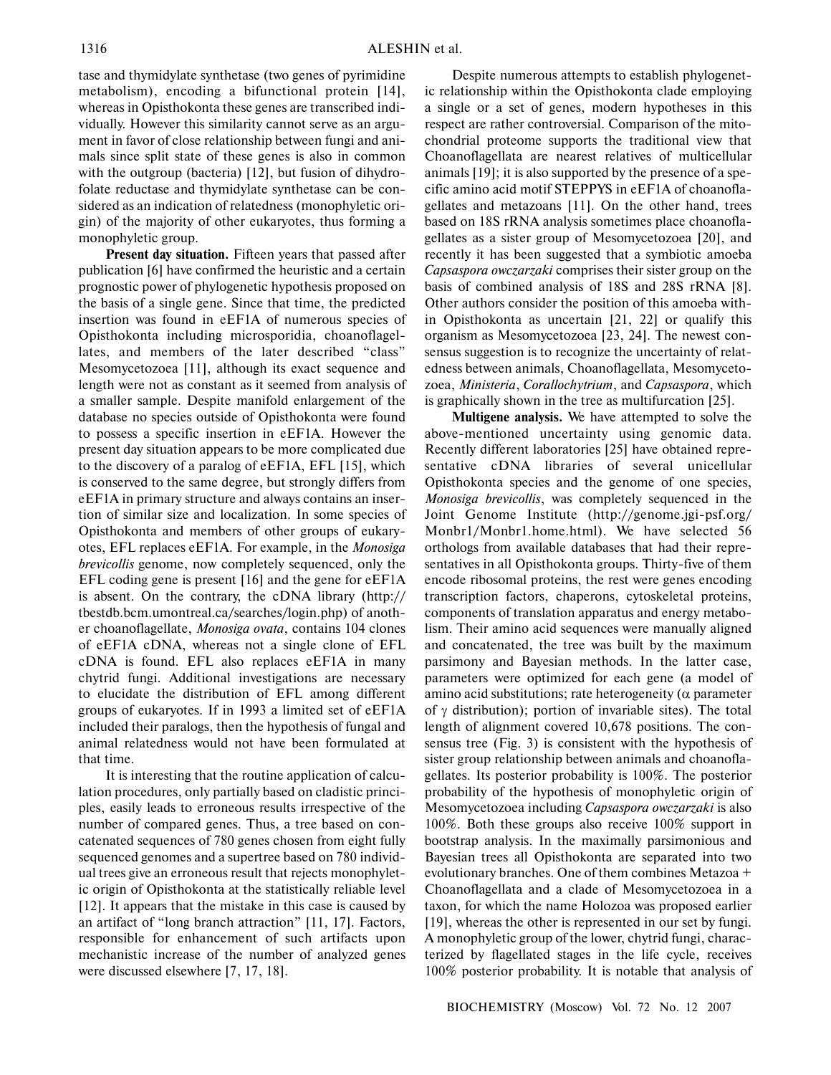tase and thymidylate synthetase (two genes of pyrimidine metabolism), encoding a bifunctional protein [14], whereas in Opisthokonta these genes are transcribed individually. However this similarity cannot serve as an argument in favor of close relationship between fungi and animals since split state of these genes is also in common with the outgroup (bacteria) [12], but fusion of dihydrofolate reductase and thymidylate synthetase can be considered as an indication of relatedness (monophyletic origin) of the majority of other eukaryotes, thus forming a monophyletic group.

**Present day situation.** Fifteen years that passed after publication [6] have confirmed the heuristic and a certain prognostic power of phylogenetic hypothesis proposed on the basis of a single gene. Since that time, the predicted insertion was found in eEF1A of numerous species of Opisthokonta including microsporidia, choanoflagellates, and members of the later described "class" Mesomycetozoea [11], although its exact sequence and length were not as constant as it seemed from analysis of a smaller sample. Despite manifold enlargement of the database no species outside of Opisthokonta were found to possess a specific insertion in eEF1A. However the present day situation appears to be more complicated due to the discovery of a paralog of eEF1A, EFL [15], which is conserved to the same degree, but strongly differs from eEF1A in primary structure and always contains an insertion of similar size and localization. In some species of Opisthokonta and members of other groups of eukaryotes, EFL replaces eEF1A. For example, in the *Monosiga brevicollis* genome, now completely sequenced, only the EFL coding gene is present [16] and the gene for eEF1A is absent. On the contrary, the cDNA library (http:// tbestdb.bcm.umontreal.ca/searches/login.php) of another choanoflagellate, *Monosiga ovata*, contains 104 clones of eEF1A cDNA, whereas not a single clone of EFL cDNA is found. EFL also replaces eEF1A in many chytrid fungi. Additional investigations are necessary to elucidate the distribution of EFL among different groups of eukaryotes. If in 1993 a limited set of eEF1A included their paralogs, then the hypothesis of fungal and animal relatedness would not have been formulated at that time.

It is interesting that the routine application of calculation procedures, only partially based on cladistic principles, easily leads to erroneous results irrespective of the number of compared genes. Thus, a tree based on concatenated sequences of 780 genes chosen from eight fully sequenced genomes and a supertree based on 780 individual trees give an erroneous result that rejects monophyletic origin of Opisthokonta at the statistically reliable level [12]. It appears that the mistake in this case is caused by an artifact of "long branch attraction" [11, 17]. Factors, responsible for enhancement of such artifacts upon mechanistic increase of the number of analyzed genes were discussed elsewhere [7, 17, 18].

Despite numerous attempts to establish phylogenetic relationship within the Opisthokonta clade employing a single or a set of genes, modern hypotheses in this respect are rather controversial. Comparison of the mitochondrial proteome supports the traditional view that Choanoflagellata are nearest relatives of multicellular animals [19]; it is also supported by the presence of a specific amino acid motif STEPPYS in eEF1A of choanoflagellates and metazoans [11]. On the other hand, trees based on 18S rRNA analysis sometimes place choanoflagellates as a sister group of Mesomycetozoea [20], and recently it has been suggested that a symbiotic amoeba *Capsaspora owczarzaki* comprises their sister group on the basis of combined analysis of 18S and 28S rRNA [8]. Other authors consider the position of this amoeba within Opisthokonta as uncertain [21, 22] or qualify this organism as Mesomycetozoea [23, 24]. The newest consensus suggestion is to recognize the uncertainty of relatedness between animals, Choanoflagellata, Mesomycetozoea, *Ministeria*, *Corallochytrium*, and *Capsaspora*, which is graphically shown in the tree as multifurcation [25].

**Multigene analysis.** We have attempted to solve the above-mentioned uncertainty using genomic data. Recently different laboratories [25] have obtained representative cDNA libraries of several unicellular Opisthokonta species and the genome of one species, *Monosiga brevicollis*, was completely sequenced in the Joint Genome Institute (http://genome.jgi-psf.org/ Monbr1/Monbr1.home.html). We have selected 56 orthologs from available databases that had their representatives in all Opisthokonta groups. Thirty-five of them encode ribosomal proteins, the rest were genes encoding transcription factors, chaperons, cytoskeletal proteins, components of translation apparatus and energy metabolism. Their amino acid sequences were manually aligned and concatenated, the tree was built by the maximum parsimony and Bayesian methods. In the latter case, parameters were optimized for each gene (a model of amino acid substitutions; rate heterogeneity ( $\alpha$  parameter of  $\gamma$  distribution); portion of invariable sites). The total length of alignment covered 10,678 positions. The consensus tree (Fig. 3) is consistent with the hypothesis of sister group relationship between animals and choanoflagellates. Its posterior probability is 100%. The posterior probability of the hypothesis of monophyletic origin of Mesomycetozoea including *Capsaspora owczarzaki* is also 100%. Both these groups also receive 100% support in bootstrap analysis. In the maximally parsimonious and Bayesian trees all Opisthokonta are separated into two evolutionary branches. One of them combines Metazoa + Choanoflagellata and a clade of Mesomycetozoea in a taxon, for which the name Holozoa was proposed earlier [19], whereas the other is represented in our set by fungi. A monophyletic group of the lower, chytrid fungi, characterized by flagellated stages in the life cycle, receives 100% posterior probability. It is notable that analysis of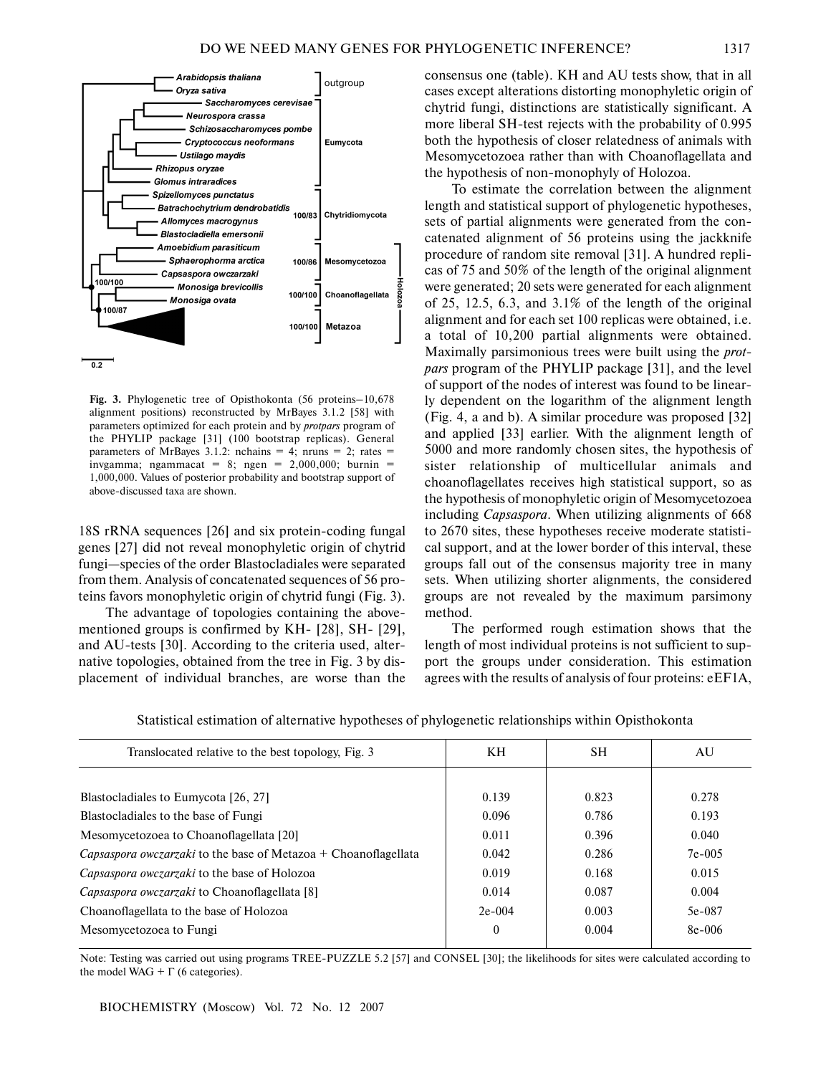

**Fig. 3.** Phylogenetic tree of Opisthokonta (56 proteins–10,678 alignment positions) reconstructed by MrBayes 3.1.2 [58] with parameters optimized for each protein and by *protpars* program of the PHYLIP package [31] (100 bootstrap replicas). General parameters of MrBayes 3.1.2: nchains = 4; nruns = 2; rates = invgamma; ngammacat = 8; ngen = 2,000,000; burnin = 1,000,000. Values of posterior probability and bootstrap support of above-discussed taxa are shown.

18S rRNA sequences [26] and six protein-coding fungal genes [27] did not reveal monophyletic origin of chytrid fungi—species of the order Blastocladiales were separated from them. Analysis of concatenated sequences of 56 proteins favors monophyletic origin of chytrid fungi (Fig. 3).

The advantage of topologies containing the abovementioned groups is confirmed by KH- [28], SH- [29], and AU-tests [30]. According to the criteria used, alternative topologies, obtained from the tree in Fig. 3 by displacement of individual branches, are worse than the consensus one (table). KH and AU tests show, that in all cases except alterations distorting monophyletic origin of chytrid fungi, distinctions are statistically significant. A more liberal SH-test rejects with the probability of 0.995 both the hypothesis of closer relatedness of animals with Mesomycetozoea rather than with Choanoflagellata and the hypothesis of non-monophyly of Holozoa.

To estimate the correlation between the alignment length and statistical support of phylogenetic hypotheses, sets of partial alignments were generated from the concatenated alignment of 56 proteins using the jackknife procedure of random site removal [31]. A hundred replicas of 75 and 50% of the length of the original alignment were generated; 20 sets were generated for each alignment of 25, 12.5, 6.3, and 3.1% of the length of the original alignment and for each set 100 replicas were obtained, i.e. a total of 10,200 partial alignments were obtained. Maximally parsimonious trees were built using the *protpars* program of the PHYLIP package [31], and the level of support of the nodes of interest was found to be linearly dependent on the logarithm of the alignment length (Fig. 4, a and b). A similar procedure was proposed [32] and applied [33] earlier. With the alignment length of 5000 and more randomly chosen sites, the hypothesis of sister relationship of multicellular animals and choanoflagellates receives high statistical support, so as the hypothesis of monophyletic origin of Mesomycetozoea including *Capsaspora*. When utilizing alignments of 668 to 2670 sites, these hypotheses receive moderate statistical support, and at the lower border of this interval, these groups fall out of the consensus majority tree in many sets. When utilizing shorter alignments, the considered groups are not revealed by the maximum parsimony method.

The performed rough estimation shows that the length of most individual proteins is not sufficient to support the groups under consideration. This estimation agrees with the results of analysis of four proteins: eEF1A,

| Translocated relative to the best topology, Fig. 3                     | KН               | SН    | AU       |
|------------------------------------------------------------------------|------------------|-------|----------|
|                                                                        |                  |       |          |
| Blastocladiales to Eumycota [26, 27]                                   | 0.139            | 0.823 | 0.278    |
| Blastocladiales to the base of Fungi                                   | 0.096            | 0.786 | 0.193    |
| Mesomycetozoea to Choanoflagellata [20]                                | 0.011            | 0.396 | 0.040    |
| <i>Capsaspora owczarzaki</i> to the base of Metazoa + Choanoflagellata | 0.042            | 0.286 | $7e-005$ |
| Capsaspora owczarzaki to the base of Holozoa                           | 0.019            | 0.168 | 0.015    |
| Capsaspora owczarzaki to Choanoflagellata [8]                          | 0.014            | 0.087 | 0.004    |
| Choanoflagellata to the base of Holozoa                                | $2e-004$         | 0.003 | 5e-087   |
| Mesomycetozoea to Fungi                                                | $\boldsymbol{0}$ | 0.004 | $8e-006$ |

Statistical estimation of alternative hypotheses of phylogenetic relationships within Opisthokonta

Note: Testing was carried out using programs TREE-PUZZLE 5.2 [57] and CONSEL [30]; the likelihoods for sites were calculated according to the model WAG +  $\Gamma$  (6 categories).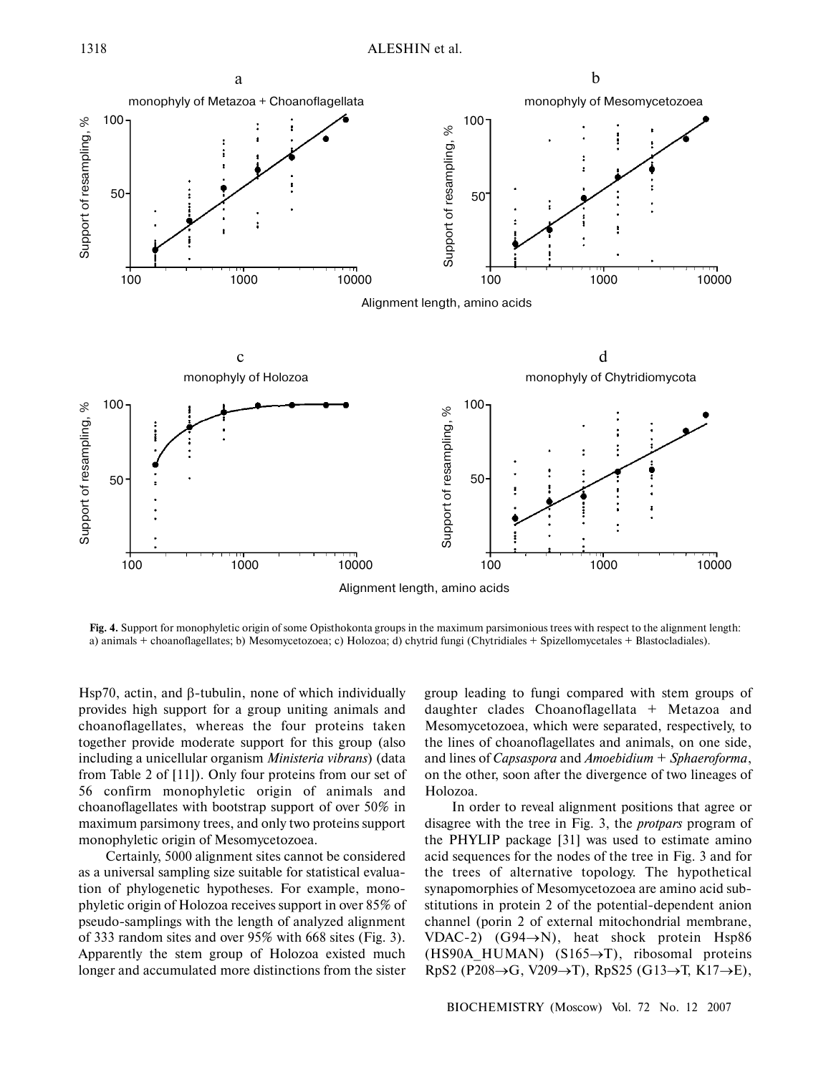

**Fig. 4.** Support for monophyletic origin of some Opisthokonta groups in the maximum parsimonious trees with respect to the alignment length: a) animals + choanoflagellates; b) Mesomycetozoea; c) Holozoa; d) chytrid fungi (Chytridiales + Spizellomycetales + Blastocladiales).

Hsp70, actin, and β-tubulin, none of which individually provides high support for a group uniting animals and choanoflagellates, whereas the four proteins taken together provide moderate support for this group (also including a unicellular organism *Ministeria vibrans*) (data from Table 2 of [11]). Only four proteins from our set of 56 confirm monophyletic origin of animals and choanoflagellates with bootstrap support of over 50% in maximum parsimony trees, and only two proteins support monophyletic origin of Mesomycetozoea.

Certainly, 5000 alignment sites cannot be considered as a universal sampling size suitable for statistical evaluation of phylogenetic hypotheses. For example, monophyletic origin of Holozoa receives support in over 85% of pseudo-samplings with the length of analyzed alignment of 333 random sites and over 95% with 668 sites (Fig. 3). Apparently the stem group of Holozoa existed much longer and accumulated more distinctions from the sister

group leading to fungi compared with stem groups of daughter clades Choanoflagellata + Metazoa and Mesomycetozoea, which were separated, respectively, to the lines of choanoflagellates and animals, on one side, and lines of *Capsaspora* and *Amoebidium* + *Sphaeroforma*, on the other, soon after the divergence of two lineages of Holozoa.

In order to reveal alignment positions that agree or disagree with the tree in Fig. 3, the *protpars* program of the PHYLIP package [31] was used to estimate amino acid sequences for the nodes of the tree in Fig. 3 and for the trees of alternative topology. The hypothetical synapomorphies of Mesomycetozoea are amino acid substitutions in protein 2 of the potential-dependent anion channel (porin 2 of external mitochondrial membrane, VDAC-2) (G94 $\rightarrow$ N), heat shock protein Hsp86 (HS90A\_HUMAN) (S165→T), ribosomal proteins RpS2 (P208→G, V209→T), RpS25 (G13→T, K17→E),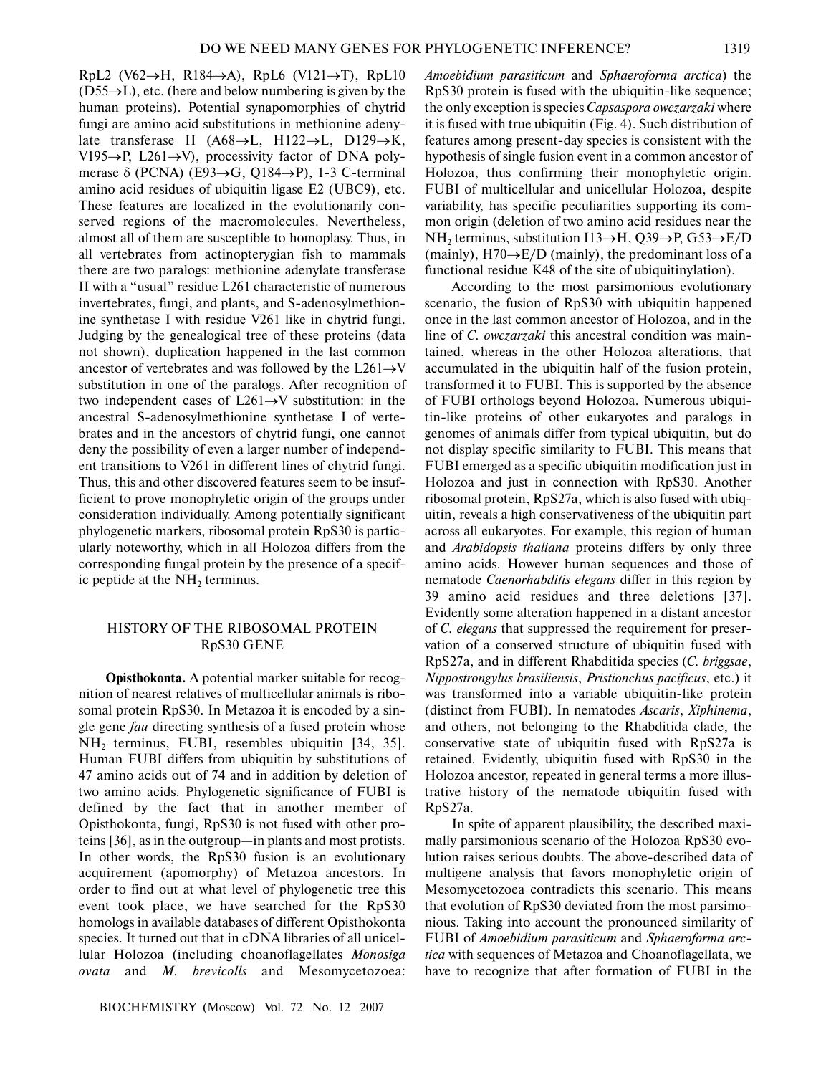RpL2 (V62→H, R184→A), RpL6 (V121→T), RpL10  $(D55\rightarrow L)$ , etc. (here and below numbering is given by the human proteins). Potential synapomorphies of chytrid fungi are amino acid substitutions in methionine adenylate transferase II (A68→L, H122→L, D129→K, V195→P, L261→V), processivity factor of DNA polymerase  $\delta$  (PCNA) (E93 $\rightarrow$ G, Q184 $\rightarrow$ P), 1-3 C-terminal amino acid residues of ubiquitin ligase E2 (UBC9), etc. These features are localized in the evolutionarily conserved regions of the macromolecules. Nevertheless, almost all of them are susceptible to homoplasy. Thus, in all vertebrates from actinopterygian fish to mammals there are two paralogs: methionine adenylate transferase II with a "usual" residue L261 characteristic of numerous invertebrates, fungi, and plants, and S-adenosylmethionine synthetase I with residue V261 like in chytrid fungi. Judging by the genealogical tree of these proteins (data not shown), duplication happened in the last common ancestor of vertebrates and was followed by the  $L261\rightarrow V$ substitution in one of the paralogs. After recognition of two independent cases of  $L261 \rightarrow V$  substitution: in the ancestral S-adenosylmethionine synthetase I of vertebrates and in the ancestors of chytrid fungi, one cannot deny the possibility of even a larger number of independent transitions to V261 in different lines of chytrid fungi. Thus, this and other discovered features seem to be insufficient to prove monophyletic origin of the groups under consideration individually. Among potentially significant phylogenetic markers, ribosomal protein RpS30 is particularly noteworthy, which in all Holozoa differs from the corresponding fungal protein by the presence of a specific peptide at the  $NH<sub>2</sub>$  terminus.

## HISTORY OF THE RIBOSOMAL PROTEIN RpS30 GENE

**Opisthokonta.** A potential marker suitable for recognition of nearest relatives of multicellular animals is ribosomal protein RpS30. In Metazoa it is encoded by a single gene *fau* directing synthesis of a fused protein whose NH<sub>2</sub> terminus, FUBI, resembles ubiquitin [34, 35]. Human FUBI differs from ubiquitin by substitutions of 47 amino acids out of 74 and in addition by deletion of two amino acids. Phylogenetic significance of FUBI is defined by the fact that in another member of Opisthokonta, fungi, RpS30 is not fused with other proteins [36], as in the outgroup—in plants and most protists. In other words, the RpS30 fusion is an evolutionary acquirement (apomorphy) of Metazoa ancestors. In order to find out at what level of phylogenetic tree this event took place, we have searched for the RpS30 homologs in available databases of different Opisthokonta species. It turned out that in cDNA libraries of all unicellular Holozoa (including choanoflagellates *Monosiga ovata* and *M. brevicolls* and Mesomycetozoea:

*Amoebidium parasiticum* and *Sphaeroforma arctica*) the RpS30 protein is fused with the ubiquitin-like sequence; the only exception is species *Capsaspora owczarzaki* where it is fused with true ubiquitin (Fig. 4). Such distribution of features among present-day species is consistent with the hypothesis of single fusion event in a common ancestor of Holozoa, thus confirming their monophyletic origin. FUBI of multicellular and unicellular Holozoa, despite variability, has specific peculiarities supporting its common origin (deletion of two amino acid residues near the NH<sub>2</sub> terminus, substitution I13→H, Q39→P, G53→E/D (mainly),  $H70 \rightarrow E/D$  (mainly), the predominant loss of a functional residue K48 of the site of ubiquitinylation).

According to the most parsimonious evolutionary scenario, the fusion of RpS30 with ubiquitin happened once in the last common ancestor of Holozoa, and in the line of *C. owczarzaki* this ancestral condition was maintained, whereas in the other Holozoa alterations, that accumulated in the ubiquitin half of the fusion protein, transformed it to FUBI. This is supported by the absence of FUBI orthologs beyond Holozoa. Numerous ubiquitin-like proteins of other eukaryotes and paralogs in genomes of animals differ from typical ubiquitin, but do not display specific similarity to FUBI. This means that FUBI emerged as a specific ubiquitin modification just in Holozoa and just in connection with RpS30. Another ribosomal protein, RpS27a, which is also fused with ubiquitin, reveals a high conservativeness of the ubiquitin part across all eukaryotes. For example, this region of human and *Arabidopsis thaliana* proteins differs by only three amino acids. However human sequences and those of nematode *Caenorhabditis elegans* differ in this region by 39 amino acid residues and three deletions [37]. Evidently some alteration happened in a distant ancestor of *C. elegans* that suppressed the requirement for preservation of a conserved structure of ubiquitin fused with RpS27a, and in different Rhabditida species (*C. briggsae*, *Nippostrongylus brasiliensis*, *Pristionchus pacificus*, etc.) it was transformed into a variable ubiquitin-like protein (distinct from FUBI). In nematodes *Ascaris*, *Xiphinema*, and others, not belonging to the Rhabditida clade, the conservative state of ubiquitin fused with RpS27a is retained. Evidently, ubiquitin fused with RpS30 in the Holozoa ancestor, repeated in general terms a more illustrative history of the nematode ubiquitin fused with RpS27a.

In spite of apparent plausibility, the described maximally parsimonious scenario of the Holozoa RpS30 evolution raises serious doubts. The above-described data of multigene analysis that favors monophyletic origin of Mesomycetozoea contradicts this scenario. This means that evolution of RpS30 deviated from the most parsimonious. Taking into account the pronounced similarity of FUBI of *Amoebidium parasiticum* and *Sphaeroforma arctica* with sequences of Metazoa and Choanoflagellata, we have to recognize that after formation of FUBI in the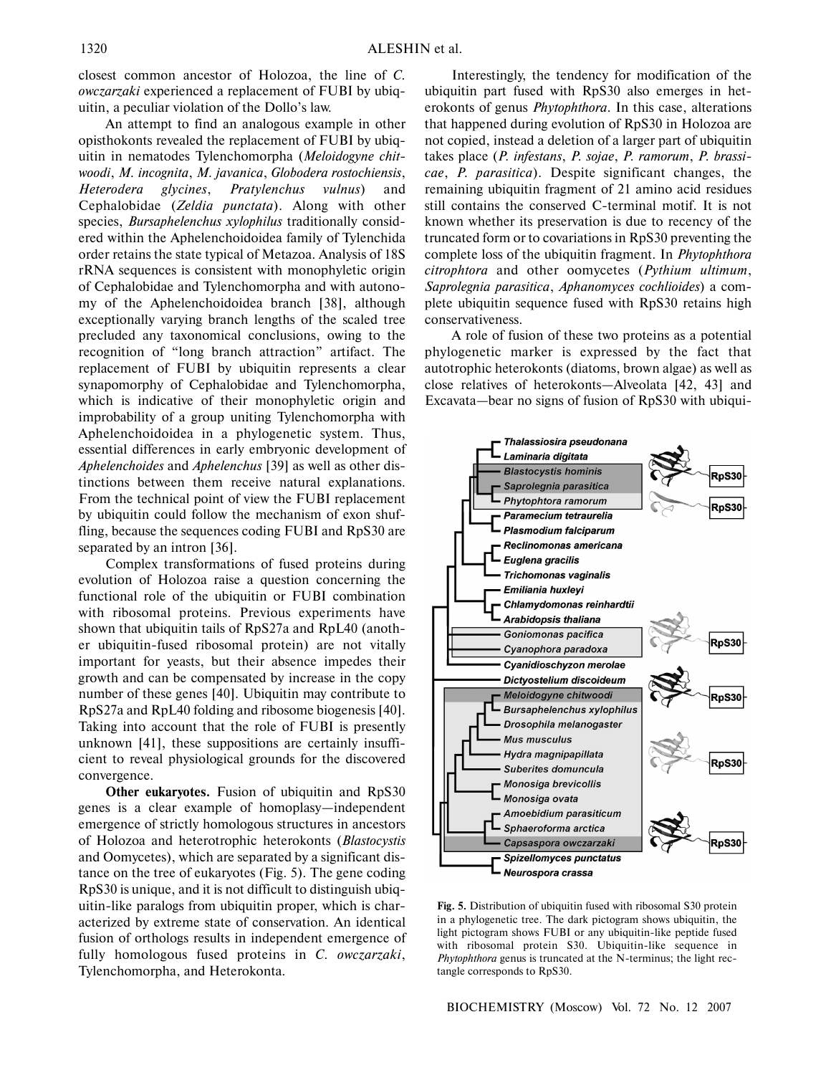closest common ancestor of Holozoa, the line of *C. owczarzaki* experienced a replacement of FUBI by ubiquitin, a peculiar violation of the Dollo's law.

An attempt to find an analogous example in other opisthokonts revealed the replacement of FUBI by ubiquitin in nematodes Tylenchomorpha (*Meloidogyne chitwoodi*, *M. incognita*, *M. javanica*, *Globodera rostochiensis*, *Heterodera glycines*, *Pratylenchus vulnus*) and Cephalobidae (*Zeldia punctata*). Along with other species, *Bursaphelenchus xylophilus* traditionally considered within the Aphelenchoidoidea family of Tylenchida order retains the state typical of Metazoa. Analysis of 18S rRNA sequences is consistent with monophyletic origin of Cephalobidae and Tylenchomorpha and with autonomy of the Aphelenchoidoidea branch [38], although exceptionally varying branch lengths of the scaled tree precluded any taxonomical conclusions, owing to the recognition of "long branch attraction" artifact. The replacement of FUBI by ubiquitin represents a clear synapomorphy of Cephalobidae and Tylenchomorpha, which is indicative of their monophyletic origin and improbability of a group uniting Tylenchomorpha with Aphelenchoidoidea in a phylogenetic system. Thus, essential differences in early embryonic development of *Aphelenchoides* and *Aphelenchus* [39] as well as other distinctions between them receive natural explanations. From the technical point of view the FUBI replacement by ubiquitin could follow the mechanism of exon shuffling, because the sequences coding FUBI and RpS30 are separated by an intron [36].

Complex transformations of fused proteins during evolution of Holozoa raise a question concerning the functional role of the ubiquitin or FUBI combination with ribosomal proteins. Previous experiments have shown that ubiquitin tails of RpS27a and RpL40 (another ubiquitin-fused ribosomal protein) are not vitally important for yeasts, but their absence impedes their growth and can be compensated by increase in the copy number of these genes [40]. Ubiquitin may contribute to RpS27a and RpL40 folding and ribosome biogenesis [40]. Taking into account that the role of FUBI is presently unknown [41], these suppositions are certainly insufficient to reveal physiological grounds for the discovered convergence.

**Other eukaryotes.** Fusion of ubiquitin and RpS30 genes is a clear example of homoplasy—independent emergence of strictly homologous structures in ancestors of Holozoa and heterotrophic heterokonts (*Blastocystis* and Oomycetes), which are separated by a significant distance on the tree of eukaryotes (Fig. 5). The gene coding RpS30 is unique, and it is not difficult to distinguish ubiquitin-like paralogs from ubiquitin proper, which is characterized by extreme state of conservation. An identical fusion of orthologs results in independent emergence of fully homologous fused proteins in *C. owczarzaki*, Tylenchomorpha, and Heterokonta.

Interestingly, the tendency for modification of the ubiquitin part fused with RpS30 also emerges in heterokonts of genus *Phytophthora*. In this case, alterations that happened during evolution of RpS30 in Holozoa are not copied, instead a deletion of a larger part of ubiquitin takes place (*P. infestans*, *P. sojae*, *P. ramorum*, *P. brassicae*, *P. parasitica*). Despite significant changes, the remaining ubiquitin fragment of 21 amino acid residues still contains the conserved C-terminal motif. It is not known whether its preservation is due to recency of the truncated form or to covariations in RpS30 preventing the complete loss of the ubiquitin fragment. In *Phytophthora citrophtora* and other oomycetes (*Pythium ultimum*, *Saprolegnia parasitica*, *Aphanomyces cochlioides*) a complete ubiquitin sequence fused with RpS30 retains high conservativeness.

A role of fusion of these two proteins as a potential phylogenetic marker is expressed by the fact that autotrophic heterokonts (diatoms, brown algae) as well as close relatives of heterokonts—Alveolata [42, 43] and Excavata—bear no signs of fusion of RpS30 with ubiqui-



**Fig. 5.** Distribution of ubiquitin fused with ribosomal S30 protein in a phylogenetic tree. The dark pictogram shows ubiquitin, the light pictogram shows FUBI or any ubiquitin-like peptide fused with ribosomal protein S30. Ubiquitin-like sequence in *Phytophthora* genus is truncated at the N-terminus; the light rectangle corresponds to RpS30.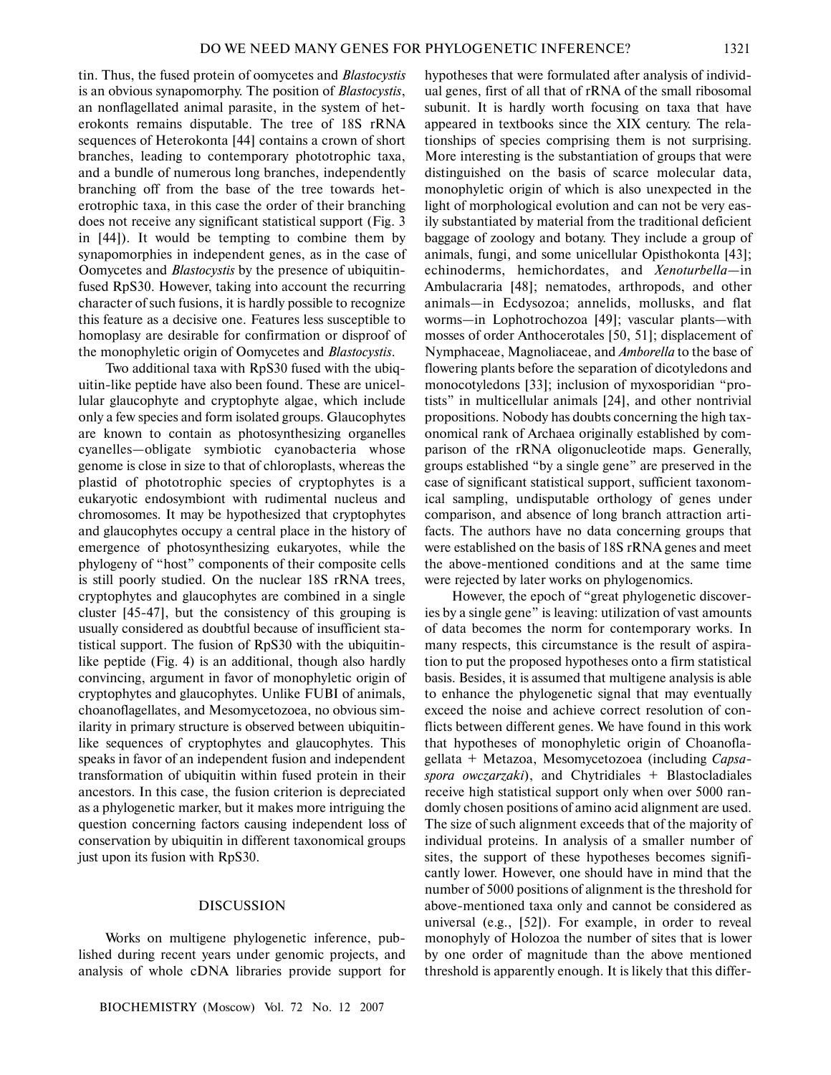tin. Thus, the fused protein of oomycetes and *Blastocystis* is an obvious synapomorphy. The position of *Blastocystis*, an nonflagellated animal parasite, in the system of heterokonts remains disputable. The tree of 18S rRNA sequences of Heterokonta [44] contains a crown of short branches, leading to contemporary phototrophic taxa, and a bundle of numerous long branches, independently branching off from the base of the tree towards heterotrophic taxa, in this case the order of their branching does not receive any significant statistical support (Fig. 3 in [44]). It would be tempting to combine them by synapomorphies in independent genes, as in the case of Oomycetes and *Blastocystis* by the presence of ubiquitinfused RpS30. However, taking into account the recurring character of such fusions, it is hardly possible to recognize this feature as a decisive one. Features less susceptible to homoplasy are desirable for confirmation or disproof of the monophyletic origin of Oomycetes and *Blastocystis*.

Two additional taxa with RpS30 fused with the ubiquitin-like peptide have also been found. These are unicellular glaucophyte and cryptophyte algae, which include only a few species and form isolated groups. Glaucophytes are known to contain as photosynthesizing organelles cyanelles—obligate symbiotic cyanobacteria whose genome is close in size to that of chloroplasts, whereas the plastid of phototrophic species of cryptophytes is a eukaryotic endosymbiont with rudimental nucleus and chromosomes. It may be hypothesized that cryptophytes and glaucophytes occupy a central place in the history of emergence of photosynthesizing eukaryotes, while the phylogeny of "host" components of their composite cells is still poorly studied. On the nuclear 18S rRNA trees, cryptophytes and glaucophytes are combined in a single cluster [45-47], but the consistency of this grouping is usually considered as doubtful because of insufficient statistical support. The fusion of RpS30 with the ubiquitinlike peptide (Fig. 4) is an additional, though also hardly convincing, argument in favor of monophyletic origin of cryptophytes and glaucophytes. Unlike FUBI of animals, choanoflagellates, and Mesomycetozoea, no obvious similarity in primary structure is observed between ubiquitinlike sequences of cryptophytes and glaucophytes. This speaks in favor of an independent fusion and independent transformation of ubiquitin within fused protein in their ancestors. In this case, the fusion criterion is depreciated as a phylogenetic marker, but it makes more intriguing the question concerning factors causing independent loss of conservation by ubiquitin in different taxonomical groups just upon its fusion with RpS30.

#### DISCUSSION

Works on multigene phylogenetic inference, published during recent years under genomic projects, and analysis of whole cDNA libraries provide support for

BIOCHEMISTRY (Moscow) Vol. 72 No. 12 2007

hypotheses that were formulated after analysis of individual genes, first of all that of rRNA of the small ribosomal subunit. It is hardly worth focusing on taxa that have appeared in textbooks since the XIX century. The relationships of species comprising them is not surprising. More interesting is the substantiation of groups that were distinguished on the basis of scarce molecular data, monophyletic origin of which is also unexpected in the light of morphological evolution and can not be very easily substantiated by material from the traditional deficient baggage of zoology and botany. They include a group of animals, fungi, and some unicellular Opisthokonta [43]; echinoderms, hemichordates, and *Xenoturbella*—in Ambulacraria [48]; nematodes, arthropods, and other animals—in Ecdysozoa; annelids, mollusks, and flat worms—in Lophotrochozoa [49]; vascular plants—with mosses of order Anthocerotales [50, 51]; displacement of Nymphaceae, Magnoliaceae, and *Amborella* to the base of flowering plants before the separation of dicotyledons and monocotyledons [33]; inclusion of myxosporidian "protists" in multicellular animals [24], and other nontrivial propositions. Nobody has doubts concerning the high taxonomical rank of Archaea originally established by comparison of the rRNA oligonucleotide maps. Generally, groups established "by a single gene" are preserved in the case of significant statistical support, sufficient taxonomical sampling, undisputable orthology of genes under comparison, and absence of long branch attraction artifacts. The authors have no data concerning groups that were established on the basis of 18S rRNA genes and meet the above-mentioned conditions and at the same time were rejected by later works on phylogenomics.

However, the epoch of "great phylogenetic discoveries by a single gene" is leaving: utilization of vast amounts of data becomes the norm for contemporary works. In many respects, this circumstance is the result of aspiration to put the proposed hypotheses onto a firm statistical basis. Besides, it is assumed that multigene analysis is able to enhance the phylogenetic signal that may eventually exceed the noise and achieve correct resolution of conflicts between different genes. We have found in this work that hypotheses of monophyletic origin of Choanoflagellata + Metazoa, Mesomycetozoea (including *Capsaspora owczarzaki*), and Chytridiales + Blastocladiales receive high statistical support only when over 5000 randomly chosen positions of amino acid alignment are used. The size of such alignment exceeds that of the majority of individual proteins. In analysis of a smaller number of sites, the support of these hypotheses becomes significantly lower. However, one should have in mind that the number of 5000 positions of alignment is the threshold for above-mentioned taxa only and cannot be considered as universal (e.g., [52]). For example, in order to reveal monophyly of Holozoa the number of sites that is lower by one order of magnitude than the above mentioned threshold is apparently enough. It is likely that this differ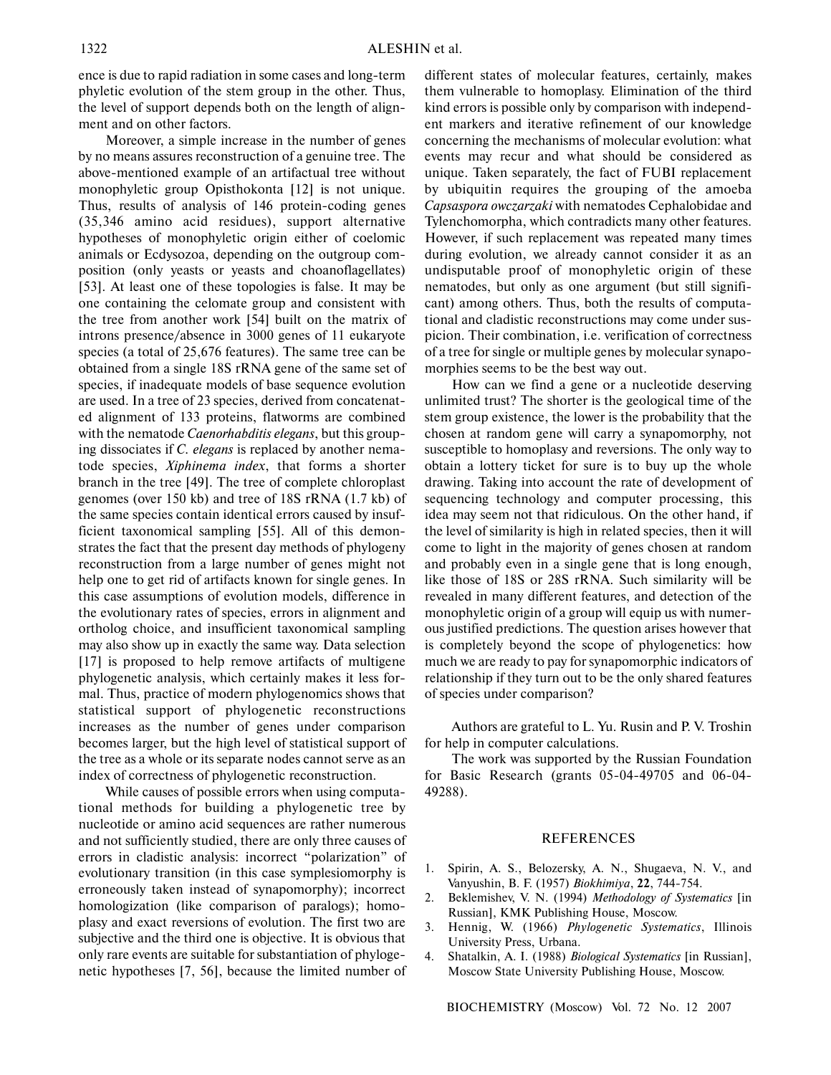ence is due to rapid radiation in some cases and long-term phyletic evolution of the stem group in the other. Thus, the level of support depends both on the length of alignment and on other factors.

Moreover, a simple increase in the number of genes by no means assures reconstruction of a genuine tree. The above-mentioned example of an artifactual tree without monophyletic group Opisthokonta [12] is not unique. Thus, results of analysis of 146 protein-coding genes (35,346 amino acid residues), support alternative hypotheses of monophyletic origin either of coelomic animals or Ecdysozoa, depending on the outgroup composition (only yeasts or yeasts and choanoflagellates) [53]. At least one of these topologies is false. It may be one containing the celomate group and consistent with the tree from another work [54] built on the matrix of introns presence/absence in 3000 genes of 11 eukaryote species (a total of 25,676 features). The same tree can be obtained from a single 18S rRNA gene of the same set of species, if inadequate models of base sequence evolution are used. In a tree of 23 species, derived from concatenated alignment of 133 proteins, flatworms are combined with the nematode *Caenorhabditis elegans*, but this grouping dissociates if *C. elegans* is replaced by another nematode species, *Xiphinema index*, that forms a shorter branch in the tree [49]. The tree of complete chloroplast genomes (over 150 kb) and tree of 18S rRNA (1.7 kb) of the same species contain identical errors caused by insufficient taxonomical sampling [55]. All of this demonstrates the fact that the present day methods of phylogeny reconstruction from a large number of genes might not help one to get rid of artifacts known for single genes. In this case assumptions of evolution models, difference in the evolutionary rates of species, errors in alignment and ortholog choice, and insufficient taxonomical sampling may also show up in exactly the same way. Data selection [17] is proposed to help remove artifacts of multigene phylogenetic analysis, which certainly makes it less formal. Thus, practice of modern phylogenomics shows that statistical support of phylogenetic reconstructions increases as the number of genes under comparison becomes larger, but the high level of statistical support of the tree as a whole or its separate nodes cannot serve as an index of correctness of phylogenetic reconstruction.

While causes of possible errors when using computational methods for building a phylogenetic tree by nucleotide or amino acid sequences are rather numerous and not sufficiently studied, there are only three causes of errors in cladistic analysis: incorrect "polarization" of evolutionary transition (in this case symplesiomorphy is erroneously taken instead of synapomorphy); incorrect homologization (like comparison of paralogs); homoplasy and exact reversions of evolution. The first two are subjective and the third one is objective. It is obvious that only rare events are suitable for substantiation of phylogenetic hypotheses [7, 56], because the limited number of different states of molecular features, certainly, makes them vulnerable to homoplasy. Elimination of the third kind errors is possible only by comparison with independent markers and iterative refinement of our knowledge concerning the mechanisms of molecular evolution: what events may recur and what should be considered as unique. Taken separately, the fact of FUBI replacement by ubiquitin requires the grouping of the amoeba *Capsaspora owczarzaki* with nematodes Cephalobidae and Tylenchomorpha, which contradicts many other features. However, if such replacement was repeated many times during evolution, we already cannot consider it as an undisputable proof of monophyletic origin of these nematodes, but only as one argument (but still significant) among others. Thus, both the results of computational and cladistic reconstructions may come under suspicion. Their combination, i.e. verification of correctness of a tree for single or multiple genes by molecular synapomorphies seems to be the best way out.

How can we find a gene or a nucleotide deserving unlimited trust? The shorter is the geological time of the stem group existence, the lower is the probability that the chosen at random gene will carry a synapomorphy, not susceptible to homoplasy and reversions. The only way to obtain a lottery ticket for sure is to buy up the whole drawing. Taking into account the rate of development of sequencing technology and computer processing, this idea may seem not that ridiculous. On the other hand, if the level of similarity is high in related species, then it will come to light in the majority of genes chosen at random and probably even in a single gene that is long enough, like those of 18S or 28S rRNA. Such similarity will be revealed in many different features, and detection of the monophyletic origin of a group will equip us with numerous justified predictions. The question arises however that is completely beyond the scope of phylogenetics: how much we are ready to pay for synapomorphic indicators of relationship if they turn out to be the only shared features of species under comparison?

Authors are grateful to L. Yu. Rusin and P. V. Troshin for help in computer calculations.

The work was supported by the Russian Foundation for Basic Research (grants 05-04-49705 and 06-04- 49288).

#### **REFERENCES**

- 1. Spirin, A. S., Belozersky, A. N., Shugaeva, N. V., and Vanyushin, B. F. (1957) *Biokhimiya*, **22**, 744-754.
- 2. Beklemishev, V. N. (1994) *Methodology of Systematics* [in Russian], KMK Publishing House, Moscow.
- 3. Hennig, W. (1966) *Phylogenetic Systematics*, Illinois University Press, Urbana.
- 4. Shatalkin, A. I. (1988) *Biological Systematics* [in Russian], Moscow State University Publishing House, Moscow.